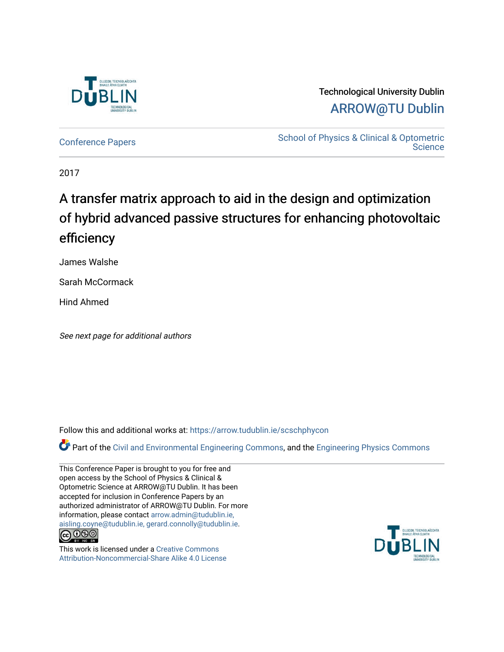

# Technological University Dublin [ARROW@TU Dublin](https://arrow.tudublin.ie/)

[Conference Papers](https://arrow.tudublin.ie/scschphycon) [School of Physics & Clinical & Optometric](https://arrow.tudublin.ie/scschphy)  **Science** 

2017

# A transfer matrix approach to aid in the design and optimization of hybrid advanced passive structures for enhancing photovoltaic efficiency

James Walshe

Sarah McCormack

Hind Ahmed

See next page for additional authors

Follow this and additional works at: [https://arrow.tudublin.ie/scschphycon](https://arrow.tudublin.ie/scschphycon?utm_source=arrow.tudublin.ie%2Fscschphycon%2F29&utm_medium=PDF&utm_campaign=PDFCoverPages) 

Part of the [Civil and Environmental Engineering Commons](http://network.bepress.com/hgg/discipline/251?utm_source=arrow.tudublin.ie%2Fscschphycon%2F29&utm_medium=PDF&utm_campaign=PDFCoverPages), and the [Engineering Physics Commons](http://network.bepress.com/hgg/discipline/200?utm_source=arrow.tudublin.ie%2Fscschphycon%2F29&utm_medium=PDF&utm_campaign=PDFCoverPages)

This Conference Paper is brought to you for free and open access by the School of Physics & Clinical & Optometric Science at ARROW@TU Dublin. It has been accepted for inclusion in Conference Papers by an authorized administrator of ARROW@TU Dublin. For more information, please contact [arrow.admin@tudublin.ie,](mailto:arrow.admin@tudublin.ie,%20aisling.coyne@tudublin.ie,%20gerard.connolly@tudublin.ie)  [aisling.coyne@tudublin.ie, gerard.connolly@tudublin.ie](mailto:arrow.admin@tudublin.ie,%20aisling.coyne@tudublin.ie,%20gerard.connolly@tudublin.ie).<br>© 000



This work is licensed under a [Creative Commons](http://creativecommons.org/licenses/by-nc-sa/4.0/) [Attribution-Noncommercial-Share Alike 4.0 License](http://creativecommons.org/licenses/by-nc-sa/4.0/)

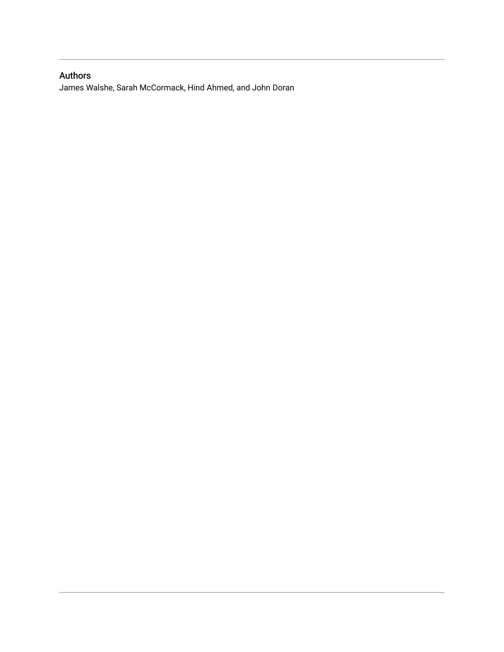## Authors

James Walshe, Sarah McCormack, Hind Ahmed, and John Doran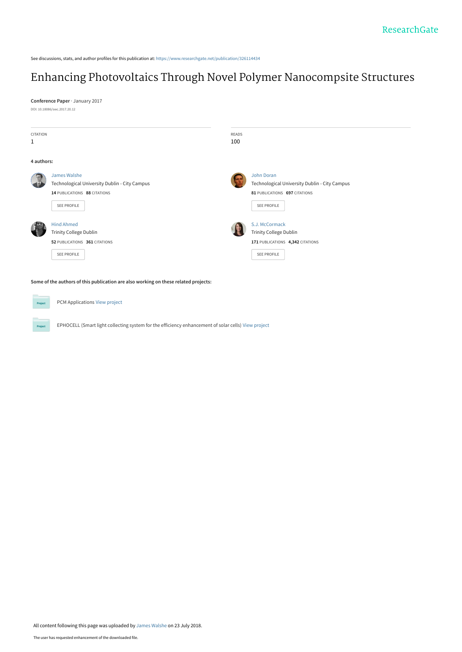See discussions, stats, and author profiles for this publication at: [https://www.researchgate.net/publication/326114434](https://www.researchgate.net/publication/326114434_Enhancing_Photovoltaics_Through_Novel_Polymer_Nanocompsite_Structures?enrichId=rgreq-e51b7e1df43582b9e4511e41f08613b1-XXX&enrichSource=Y292ZXJQYWdlOzMyNjExNDQzNDtBUzo2NTE1NjY3MzAxOTkwNDZAMTUzMjM1NzAyMjQzOA%3D%3D&el=1_x_2&_esc=publicationCoverPdf)

# [Enhancing Photovoltaics Through Novel Polymer Nanocompsite Structures](https://www.researchgate.net/publication/326114434_Enhancing_Photovoltaics_Through_Novel_Polymer_Nanocompsite_Structures?enrichId=rgreq-e51b7e1df43582b9e4511e41f08613b1-XXX&enrichSource=Y292ZXJQYWdlOzMyNjExNDQzNDtBUzo2NTE1NjY3MzAxOTkwNDZAMTUzMjM1NzAyMjQzOA%3D%3D&el=1_x_3&_esc=publicationCoverPdf)

**Conference Paper** · January 2017 DOI: 10.18086/swc.2017.20.12

| <b>CITATION</b> |                                               | <b>READS</b>                                  |  |
|-----------------|-----------------------------------------------|-----------------------------------------------|--|
| $\mathbf{1}$    |                                               | 100                                           |  |
| 4 authors:      |                                               |                                               |  |
|                 | James Walshe                                  | John Doran                                    |  |
|                 | Technological University Dublin - City Campus | Technological University Dublin - City Campus |  |
|                 | 14 PUBLICATIONS 88 CITATIONS                  | 81 PUBLICATIONS 697 CITATIONS                 |  |
|                 | SEE PROFILE                                   | <b>SEE PROFILE</b>                            |  |
|                 | <b>Hind Ahmed</b>                             | S.J. McCormack                                |  |
|                 | <b>Trinity College Dublin</b>                 | <b>Trinity College Dublin</b>                 |  |
|                 | 52 PUBLICATIONS 361 CITATIONS                 | 171 PUBLICATIONS 4,342 CITATIONS              |  |
|                 | <b>SEE PROFILE</b>                            | SEE PROFILE                                   |  |
|                 |                                               |                                               |  |
|                 |                                               |                                               |  |

**Some of the authors of this publication are also working on these related projects:**

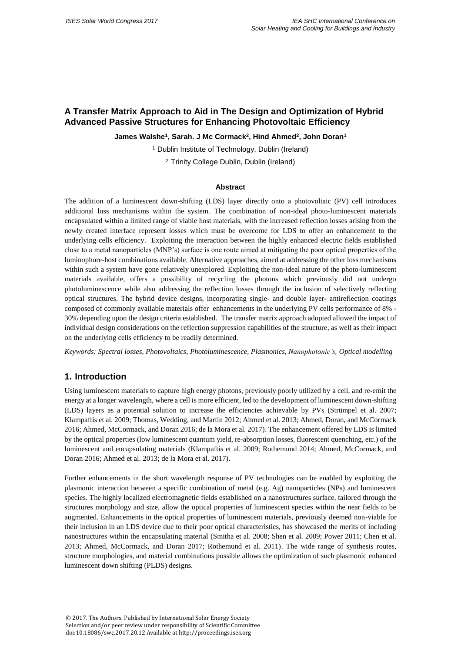### **A Transfer Matrix Approach to Aid in The Design and Optimization of Hybrid Advanced Passive Structures for Enhancing Photovoltaic Efficiency**

**James Walshe<sup>1</sup> , Sarah. J Mc Cormack<sup>2</sup> , Hind Ahmed<sup>2</sup> , John Doran<sup>1</sup>**

<sup>1</sup> Dublin Institute of Technology, Dublin (Ireland)

<sup>2</sup> Trinity College Dublin, Dublin (Ireland)

#### **Abstract**

The addition of a luminescent down-shifting (LDS) layer directly onto a photovoltaic (PV) cell introduces additional loss mechanisms within the system. The combination of non-ideal photo-luminescent materials encapsulated within a limited range of viable host materials, with the increased reflection losses arising from the newly created interface represent losses which must be overcome for LDS to offer an enhancement to the underlying cells efficiency. Exploiting the interaction between the highly enhanced electric fields established close to a metal nanoparticles (MNP's) surface is one route aimed at mitigating the poor optical properties of the luminophore-host combinations available. Alternative approaches, aimed at addressing the other loss mechanisms within such a system have gone relatively unexplored. Exploiting the non-ideal nature of the photo-luminescent materials available, offers a possibility of recycling the photons which previously did not undergo photoluminescence while also addressing the reflection losses through the inclusion of selectively reflecting optical structures. The hybrid device designs, incorporating single- and double layer- antireflection coatings composed of commonly available materials offer enhancements in the underlying PV cells performance of 8% - 30% depending upon the design criteria established. The transfer matrix approach adopted allowed the impact of individual design considerations on the reflection suppression capabilities of the structure, as well as their impact on the underlying cells efficiency to be readily determined.

*Keywords: Spectral losses, Photovoltaics, Photoluminescence, Plasmonics, Nanophotonic's, Optical modelling*

#### **1. Introduction**

Using luminescent materials to capture high energy photons, previously poorly utilized by a cell, and re-emit the energy at a longer wavelength, where a cell is more efficient, led to the development of luminescent down-shifting (LDS) layers as a potential solution to increase the efficiencies achievable by PVs (Strümpel et al. 2007; Klampaftis et al. 2009; Thomas, Wedding, and Martin 2012; Ahmed et al. 2013; Ahmed, Doran, and McCormack 2016; Ahmed, McCormack, and Doran 2016; de la Mora et al. 2017). The enhancement offered by LDS is limited by the optical properties (low luminescent quantum yield, re-absorption losses, fluorescent quenching, etc.) of the luminescent and encapsulating materials (Klampaftis et al. 2009; Rothemund 2014; Ahmed, McCormack, and Doran 2016; Ahmed et al. 2013; de la Mora et al. 2017).

Further enhancements in the short wavelength response of PV technologies can be enabled by exploiting the plasmonic interaction between a specific combination of metal (e.g. Ag) nanoparticles (NPs) and luminescent species. The highly localized electromagnetic fields established on a nanostructures surface, tailored through the structures morphology and size, allow the optical properties of luminescent species within the near fields to be augmented. Enhancements in the optical properties of luminescent materials, previously deemed non-viable for their inclusion in an LDS device due to their poor optical characteristics, has showcased the merits of including nanostructures within the encapsulating material (Smitha et al. 2008; Shen et al. 2009; Power 2011; Chen et al. 2013; Ahmed, McCormack, and Doran 2017; Rothemund et al. 2011). The wide range of synthesis routes, structure morphologies, and material combinations possible allows the optimization of such plasmonic enhanced luminescent down shifting (PLDS) designs.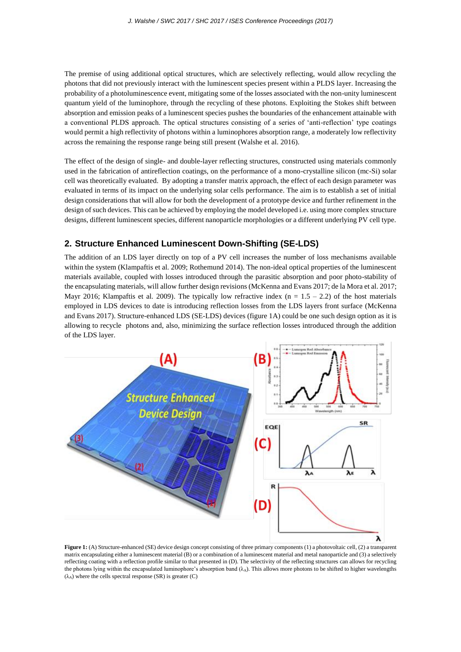The premise of using additional optical structures, which are selectively reflecting, would allow recycling the photons that did not previously interact with the luminescent species present within a PLDS layer. Increasing the probability of a photoluminescence event, mitigating some of the losses associated with the non-unity luminescent quantum yield of the luminophore, through the recycling of these photons. Exploiting the Stokes shift between absorption and emission peaks of a luminescent species pushes the boundaries of the enhancement attainable with a conventional PLDS approach. The optical structures consisting of a series of 'anti-reflection' type coatings would permit a high reflectivity of photons within a luminophores absorption range, a moderately low reflectivity across the remaining the response range being still present (Walshe et al. 2016).

The effect of the design of single- and double-layer reflecting structures, constructed using materials commonly used in the fabrication of antireflection coatings, on the performance of a mono-crystalline silicon (mc-Si) solar cell was theoretically evaluated. By adopting a transfer matrix approach, the effect of each design parameter was evaluated in terms of its impact on the underlying solar cells performance. The aim is to establish a set of initial design considerations that will allow for both the development of a prototype device and further refinement in the design of such devices. This can be achieved by employing the model developed i.e. using more complex structure designs, different luminescent species, different nanoparticle morphologies or a different underlying PV cell type.

#### **2. Structure Enhanced Luminescent Down-Shifting (SE-LDS)**

The addition of an LDS layer directly on top of a PV cell increases the number of loss mechanisms available within the system (Klampaftis et al. 2009; Rothemund 2014). The non-ideal optical properties of the luminescent materials available, coupled with losses introduced through the parasitic absorption and poor photo-stability of the encapsulating materials, will allow further design revisions (McKenna and Evans 2017; de la Mora et al. 2017; Mayr 2016; Klampaftis et al. 2009). The typically low refractive index  $(n = 1.5 - 2.2)$  of the host materials employed in LDS devices to date is introducing reflection losses from the LDS layers front surface (McKenna and Evans 2017). Structure-enhanced LDS (SE-LDS) devices (figure 1A) could be one such design option as it is allowing to recycle photons and, also, minimizing the surface reflection losses introduced through the addition of the LDS layer.



**Figure 1:** (A) Structure-enhanced (SE) device design concept consisting of three primary components (1) a photovoltaic cell, (2) a transparent matrix encapsulating either a luminescent material (B) or a combination of a luminescent material and metal nanoparticle and (3) a selectively reflecting coating with a reflection profile similar to that presented in (D). The selectivity of the reflecting structures can allows for recycling the photons lying within the encapsulated luminophore's absorption band  $(\lambda_A)$ . This allows more photons to be shifted to higher wavelengths  $(\lambda_A)$  where the cells spectral response (SR) is greater (C)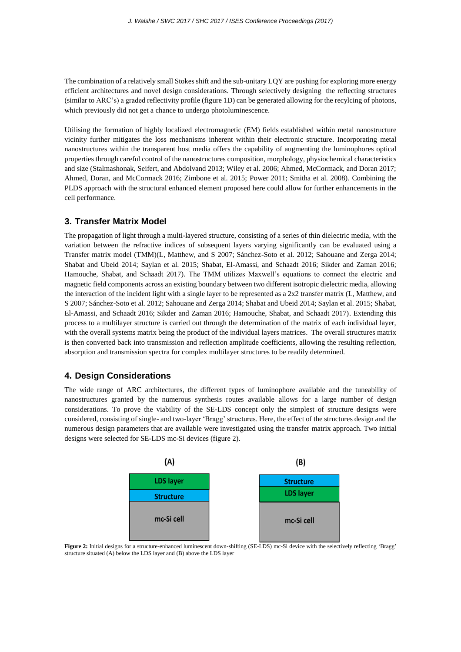The combination of a relatively small Stokes shift and the sub-unitary LQY are pushing for exploring more energy efficient architectures and novel design considerations. Through selectively designing the reflecting structures (similar to ARC's) a graded reflectivity profile (figure 1D) can be generated allowing for the recylcing of photons, which previously did not get a chance to undergo photoluminescence.

Utilising the formation of highly localized electromagnetic (EM) fields established within metal nanostructure vicinity further mitigates the loss mechanisms inherent within their electronic structure. Incorporating metal nanostructures within the transparent host media offers the capability of augmenting the luminophores optical properties through careful control of the nanostructures composition, morphology, physiochemical characteristics and size (Stalmashonak, Seifert, and Abdolvand 2013; Wiley et al. 2006; Ahmed, McCormack, and Doran 2017; Ahmed, Doran, and McCormack 2016; Zimbone et al. 2015; Power 2011; Smitha et al. 2008). Combining the PLDS approach with the structural enhanced element proposed here could allow for further enhancements in the cell performance.

#### **3. Transfer Matrix Model**

The propagation of light through a multi-layered structure, consisting of a series of thin dielectric media, with the variation between the refractive indices of subsequent layers varying significantly can be evaluated using a Transfer matrix model (TMM)(L, Matthew, and S 2007; Sánchez-Soto et al. 2012; Sahouane and Zerga 2014; Shabat and Ubeid 2014; Saylan et al. 2015; Shabat, El-Amassi, and Schaadt 2016; Sikder and Zaman 2016; Hamouche, Shabat, and Schaadt 2017). The TMM utilizes Maxwell's equations to connect the electric and magnetic field components across an existing boundary between two different isotropic dielectric media, allowing the interaction of the incident light with a single layer to be represented as a  $2x2$  transfer matrix (L, Matthew, and S 2007; Sánchez-Soto et al. 2012; Sahouane and Zerga 2014; Shabat and Ubeid 2014; Saylan et al. 2015; Shabat, El-Amassi, and Schaadt 2016; Sikder and Zaman 2016; Hamouche, Shabat, and Schaadt 2017). Extending this process to a multilayer structure is carried out through the determination of the matrix of each individual layer, with the overall systems matrix being the product of the individual layers matrices. The overall structures matrix is then converted back into transmission and reflection amplitude coefficients, allowing the resulting reflection, absorption and transmission spectra for complex multilayer structures to be readily determined.

#### **4. Design Considerations**

The wide range of ARC architectures, the different types of luminophore available and the tuneability of nanostructures granted by the numerous synthesis routes available allows for a large number of design considerations. To prove the viability of the SE-LDS concept only the simplest of structure designs were considered, consisting of single- and two-layer 'Bragg' structures. Here, the effect of the structures design and the numerous design parameters that are available were investigated using the transfer matrix approach. Two initial designs were selected for SE-LDS mc-Si devices (figure 2).



**Figure 2:** Initial designs for a structure-enhanced luminescent down-shifting (SE-LDS) mc-Si device with the selectively reflecting 'Bragg' structure situated (A) below the LDS layer and (B) above the LDS layer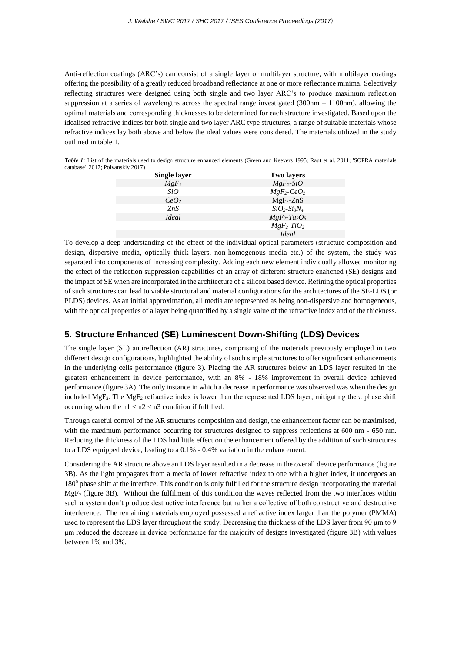Anti-reflection coatings (ARC's) can consist of a single layer or multilayer structure, with multilayer coatings offering the possibility of a greatly reduced broadband reflectance at one or more reflectance minima. Selectively reflecting structures were designed using both single and two layer ARC's to produce maximum reflection suppression at a series of wavelengths across the spectral range investigated (300nm – 1100nm), allowing the optimal materials and corresponding thicknesses to be determined for each structure investigated. Based upon the idealised refractive indices for both single and two layer ARC type structures, a range of suitable materials whose refractive indices lay both above and below the ideal values were considered. The materials utilized in the study outlined in table 1.

*Table 1:* List of the materials used to design structure enhanced elements (Green and Keevers 1995; Raut et al. 2011; 'SOPRA materials database' 2017; Polyanskiy 2017)

| <b>Single layer</b>        | <b>Two layers</b>                       |
|----------------------------|-----------------------------------------|
| $MgF_2$                    | $MgF_2-SiO$                             |
| SiO                        | $MgF_2$ -CeO <sub>2</sub>               |
| CeO <sub>2</sub>           | $MgF_2-ZnS$                             |
| ZnS                        | $SiO2-Si3N4$                            |
| <i><u><b>Ideal</b></u></i> | $MgF_2$ -Ta <sub>2</sub> O <sub>5</sub> |
|                            | $MgF_2$ -TiO <sub>2</sub>               |
|                            | <i><u><b>Ideal</b></u></i>              |

To develop a deep understanding of the effect of the individual optical parameters (structure composition and design, dispersive media, optically thick layers, non-homogenous media etc.) of the system, the study was separated into components of increasing complexity. Adding each new element individually allowed monitoring the effect of the reflection suppression capabilities of an array of different structure enahcned (SE) designs and the impact of SE when are incorporated in the architecture of a silicon based device. Refining the optical properties of such structures can lead to viable structural and material configurations for the architectures of the SE-LDS (or PLDS) devices. As an initial approximation, all media are represented as being non-dispersive and homogeneous, with the optical properties of a layer being quantified by a single value of the refractive index and of the thickness.

#### **5. Structure Enhanced (SE) Luminescent Down-Shifting (LDS) Devices**

The single layer (SL) antireflection (AR) structures, comprising of the materials previously employed in two different design configurations, highlighted the ability of such simple structures to offer significant enhancements in the underlying cells performance (figure 3). Placing the AR structures below an LDS layer resulted in the greatest enhancement in device performance, with an 8% - 18% improvement in overall device achieved performance (figure 3A). The only instance in which a decrease in performance was observed was when the design included MgF<sub>2</sub>. The MgF<sub>2</sub> refractive index is lower than the represented LDS layer, mitigating the  $\pi$  phase shift occurring when the  $n1 < n2 < n3$  condition if fulfilled.

Through careful control of the AR structures composition and design, the enhancement factor can be maximised, with the maximum performance occurring for structures designed to suppress reflections at 600 nm - 650 nm. Reducing the thickness of the LDS had little effect on the enhancement offered by the addition of such structures to a LDS equipped device, leading to a 0.1% - 0.4% variation in the enhancement.

Considering the AR structure above an LDS layer resulted in a decrease in the overall device performance (figure 3B). As the light propagates from a media of lower refractive index to one with a higher index, it undergoes an  $180<sup>0</sup>$  phase shift at the interface. This condition is only fulfilled for the structure design incorporating the material  $MgF<sub>2</sub>$  (figure 3B). Without the fulfilment of this condition the waves reflected from the two interfaces within such a system don't produce destructive interference but rather a collective of both constructive and destructive interference. The remaining materials employed possessed a refractive index larger than the polymer (PMMA) used to represent the LDS layer throughout the study. Decreasing the thickness of the LDS layer from 90 μm to 9 μm reduced the decrease in device performance for the majority of designs investigated (figure 3B) with values between 1% and 3%.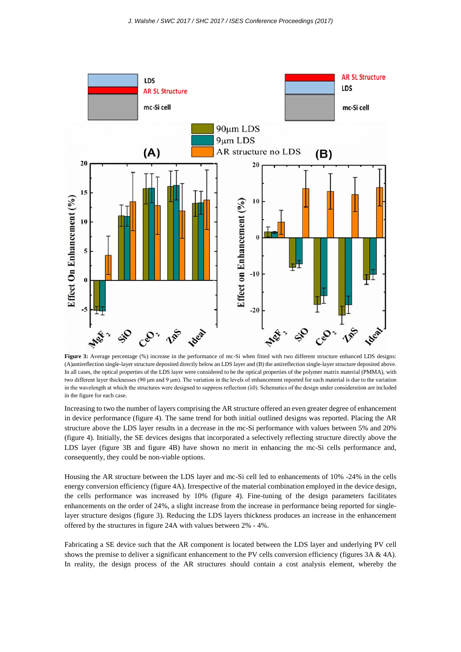

**Figure 3:** Average percentage (%) increase in the performance of mc-Si when fitted with two different structure enhanced LDS designs: (A)antireflection single-layer structure deposited directly below an LDS layer and (B) the antireflection single-layer structure deposited above. In all cases, the optical properties of the LDS layer were considered to be the optical properties of the polymer matrix material (PMMA), with two different layer thicknesses (90 μm and 9 μm). The variation in the levels of enhancement reported for each material is due to the variation in the wavelength at which the structures were designed to suppress reflection  $(\lambda 0)$ . Schematics of the design under consideration are included in the figure for each case.

Increasing to two the number of layers comprising the AR structure offered an even greater degree of enhancement in device performance (figure 4). The same trend for both initial outlined designs was reported. Placing the AR structure above the LDS layer results in a decrease in the mc-Si performance with values between 5% and 20% (figure 4). Initially, the SE devices designs that incorporated a selectively reflecting structure directly above the LDS layer (figure 3B and figure 4B) have shown no merit in enhancing the mc-Si cells performance and, consequently, they could be non-viable options.

Housing the AR structure between the LDS layer and mc-Si cell led to enhancements of 10% -24% in the cells energy conversion efficiency (figure 4A). Irrespective of the material combination employed in the device design, the cells performance was increased by 10% (figure 4). Fine-tuning of the design parameters facilitates enhancements on the order of 24%, a slight increase from the increase in performance being reported for singlelayer structure designs (figure 3). Reducing the LDS layers thickness produces an increase in the enhancement offered by the structures in figure 24A with values between 2% - 4%.

Fabricating a SE device such that the AR component is located between the LDS layer and underlying PV cell shows the premise to deliver a significant enhancement to the PV cells conversion efficiency (figures 3A & 4A). In reality, the design process of the AR structures should contain a cost analysis element, whereby the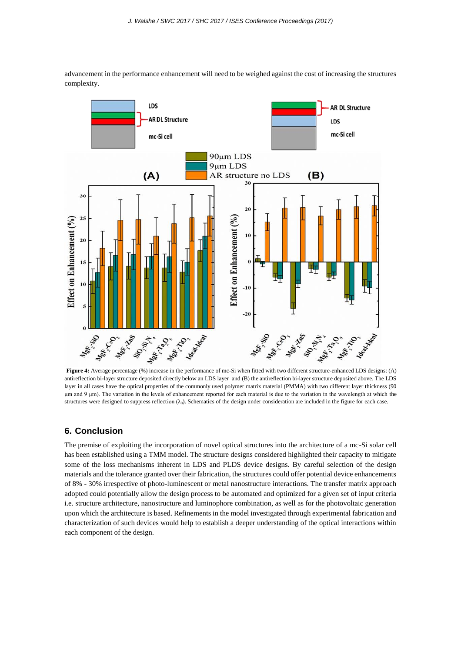

advancement in the performance enhancement will need to be weighed against the cost of increasing the structures complexity.

**Figure 4:** Average percentage (%) increase in the performance of mc-Si when fitted with two different structure-enhanced LDS designs: (A) antireflection bi-layer structure deposited directly below an LDS layer and (B) the antireflection bi-layer structure deposited above. The LDS layer in all cases have the optical properties of the commonly used polymer matrix material (PMMA) with two different layer thickness (90 μm and 9 μm). The variation in the levels of enhancement reported for each material is due to the variation in the wavelength at which the structures were designed to suppress reflection  $(\lambda_0)$ . Schematics of the design under consideration are included in the figure for each case.

#### **6. Conclusion**

The premise of exploiting the incorporation of novel optical structures into the architecture of a mc-Si solar cell has been established using a TMM model. The structure designs considered highlighted their capacity to mitigate some of the loss mechanisms inherent in LDS and PLDS device designs. By careful selection of the design materials and the tolerance granted over their fabrication, the structures could offer potential device enhancements of 8% - 30% irrespective of photo-luminescent or metal nanostructure interactions. The transfer matrix approach adopted could potentially allow the design process to be automated and optimized for a given set of input criteria i.e. structure architecture, nanostructure and luminophore combination, as well as for the photovoltaic generation upon which the architecture is based. Refinements in the model investigated through experimental fabrication and characterization of such devices would help to establish a deeper understanding of the optical interactions within each component of the design.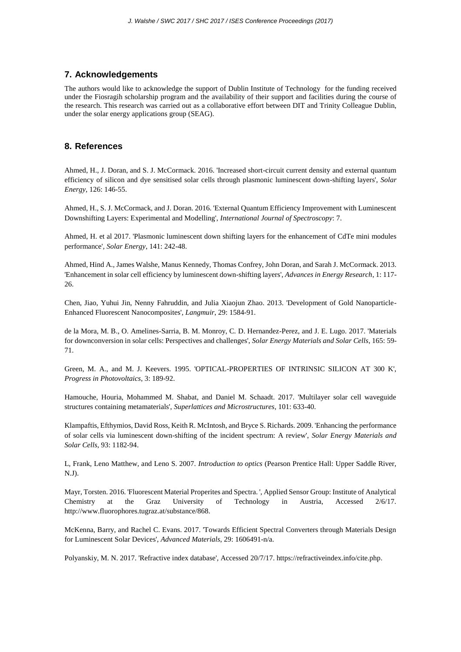#### **7. Acknowledgements**

The authors would like to acknowledge the support of Dublin Institute of Technology for the funding received under the Fiosragih scholarship program and the availability of their support and facilities during the course of the research. This research was carried out as a collaborative effort between DIT and Trinity Colleague Dublin, under the solar energy applications group (SEAG).

#### **8. References**

Ahmed, H., J. Doran, and S. J. McCormack. 2016. 'Increased short-circuit current density and external quantum efficiency of silicon and dye sensitised solar cells through plasmonic luminescent down-shifting layers', *Solar Energy*, 126: 146-55.

Ahmed, H., S. J. McCormack, and J. Doran. 2016. 'External Quantum Efficiency Improvement with Luminescent Downshifting Layers: Experimental and Modelling', *International Journal of Spectroscopy*: 7.

Ahmed, H. et al 2017. 'Plasmonic luminescent down shifting layers for the enhancement of CdTe mini modules performance', *Solar Energy*, 141: 242-48.

Ahmed, Hind A., James Walshe, Manus Kennedy, Thomas Confrey, John Doran, and Sarah J. McCormack. 2013. 'Enhancement in solar cell efficiency by luminescent down-shifting layers', *Advances in Energy Research*, 1: 117- 26.

Chen, Jiao, Yuhui Jin, Nenny Fahruddin, and Julia Xiaojun Zhao. 2013. 'Development of Gold Nanoparticle-Enhanced Fluorescent Nanocomposites', *Langmuir*, 29: 1584-91.

de la Mora, M. B., O. Amelines-Sarria, B. M. Monroy, C. D. Hernandez-Perez, and J. E. Lugo. 2017. 'Materials for downconversion in solar cells: Perspectives and challenges', *Solar Energy Materials and Solar Cells*, 165: 59- 71.

Green, M. A., and M. J. Keevers. 1995. 'OPTICAL-PROPERTIES OF INTRINSIC SILICON AT 300 K', *Progress in Photovoltaics*, 3: 189-92.

Hamouche, Houria, Mohammed M. Shabat, and Daniel M. Schaadt. 2017. 'Multilayer solar cell waveguide structures containing metamaterials', *Superlattices and Microstructures*, 101: 633-40.

Klampaftis, Efthymios, David Ross, Keith R. McIntosh, and Bryce S. Richards. 2009. 'Enhancing the performance of solar cells via luminescent down-shifting of the incident spectrum: A review', *Solar Energy Materials and Solar Cells*, 93: 1182-94.

L, Frank, Leno Matthew, and Leno S. 2007. *Introduction to optics* (Pearson Prentice Hall: Upper Saddle River, N.J).

Mayr, Torsten. 2016. 'Fluorescent Material Properites and Spectra. ', Applied Sensor Group: Institute of Analytical Chemistry at the Graz University of Technology in Austria, Accessed 2/6/17. http://www.fluorophores.tugraz.at/substance/868.

McKenna, Barry, and Rachel C. Evans. 2017. 'Towards Efficient Spectral Converters through Materials Design for Luminescent Solar Devices', *Advanced Materials*, 29: 1606491-n/a.

Polyanskiy, M. N. 2017. 'Refractive index database', Accessed 20/7/17. https://refractiveindex.info/cite.php.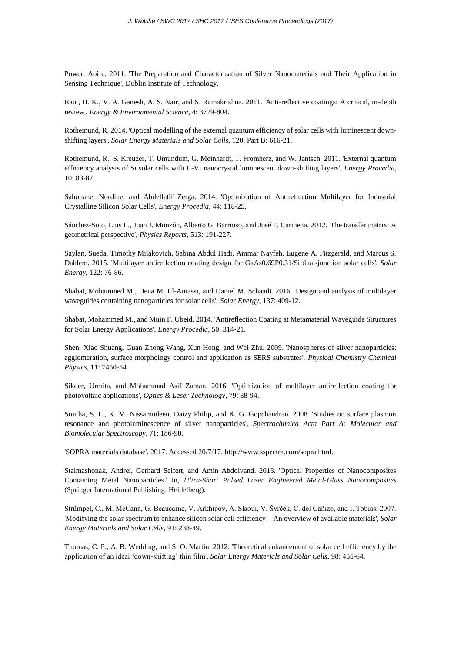Power, Aoife. 2011. 'The Preparation and Characterisation of Silver Nanomaterials and Their Application in Sensing Technique', Dublin Institute of Technology.

Raut, H. K., V. A. Ganesh, A. S. Nair, and S. Ramakrishna. 2011. 'Anti-reflective coatings: A critical, in-depth review', *Energy & Environmental Science*, 4: 3779-804.

Rothemund, R. 2014. 'Optical modelling of the external quantum efficiency of solar cells with luminescent downshifting layers', *Solar Energy Materials and Solar Cells*, 120, Part B: 616-21.

Rothemund, R., S. Kreuzer, T. Umundum, G. Meinhardt, T. Fromherz, and W. Jantsch. 2011. 'External quantum efficiency analysis of Si solar cells with II-VI nanocrystal luminescent down-shifting layers', *Energy Procedia*, 10: 83-87.

Sahouane, Nordine, and Abdellatif Zerga. 2014. 'Optimization of Antireflection Multilayer for Industrial Crystalline Silicon Solar Cells', *Energy Procedia*, 44: 118-25.

Sánchez-Soto, Luis L., Juan J. Monzón, Alberto G. Barriuso, and José F. Cariñena. 2012. 'The transfer matrix: A geometrical perspective', *Physics Reports*, 513: 191-227.

Saylan, Sueda, Timothy Milakovich, Sabina Abdul Hadi, Ammar Nayfeh, Eugene A. Fitzgerald, and Marcus S. Dahlem. 2015. 'Multilayer antireflection coating design for GaAs0.69P0.31/Si dual-junction solar cells', *Solar Energy*, 122: 76-86.

Shabat, Mohammed M., Dena M. El-Amassi, and Daniel M. Schaadt. 2016. 'Design and analysis of multilayer waveguides containing nanoparticles for solar cells', *Solar Energy*, 137: 409-12.

Shabat, Mohammed M., and Muin F. Ubeid. 2014. 'Antireflection Coating at Metamaterial Waveguide Structures for Solar Energy Applications', *Energy Procedia*, 50: 314-21.

Shen, Xiao Shuang, Guan Zhong Wang, Xun Hong, and Wei Zhu. 2009. 'Nanospheres of silver nanoparticles: agglomeration, surface morphology control and application as SERS substrates', *Physical Chemistry Chemical Physics*, 11: 7450-54.

Sikder, Urmita, and Mohammad Asif Zaman. 2016. 'Optimization of multilayer antireflection coating for photovoltaic applications', *Optics & Laser Technology*, 79: 88-94.

Smitha, S. L., K. M. Nissamudeen, Daizy Philip, and K. G. Gopchandran. 2008. 'Studies on surface plasmon resonance and photoluminescence of silver nanoparticles', *Spectrochimica Acta Part A: Molecular and Biomolecular Spectroscopy*, 71: 186-90.

'SOPRA materials database'. 2017. Accessed 20/7/17. http://www.sspectra.com/sopra.html.

Stalmashonak, Andrei, Gerhard Seifert, and Amin Abdolvand. 2013. 'Optical Properties of Nanocomposites Containing Metal Nanoparticles.' in, *Ultra-Short Pulsed Laser Engineered Metal-Glass Nanocomposites* (Springer International Publishing: Heidelberg).

Strümpel, C., M. McCann, G. Beaucarne, V. Arkhipov, A. Slaoui, V. Švrček, C. del Cañizo, and I. Tobias. 2007. 'Modifying the solar spectrum to enhance silicon solar cell efficiency—An overview of available materials', *Solar Energy Materials and Solar Cells*, 91: 238-49.

Thomas, C. P., A. B. Wedding, and S. O. Martin. 2012. 'Theoretical enhancement of solar cell efficiency by the application of an ideal 'down-shifting' thin film', *Solar Energy Materials and Solar Cells*, 98: 455-64.